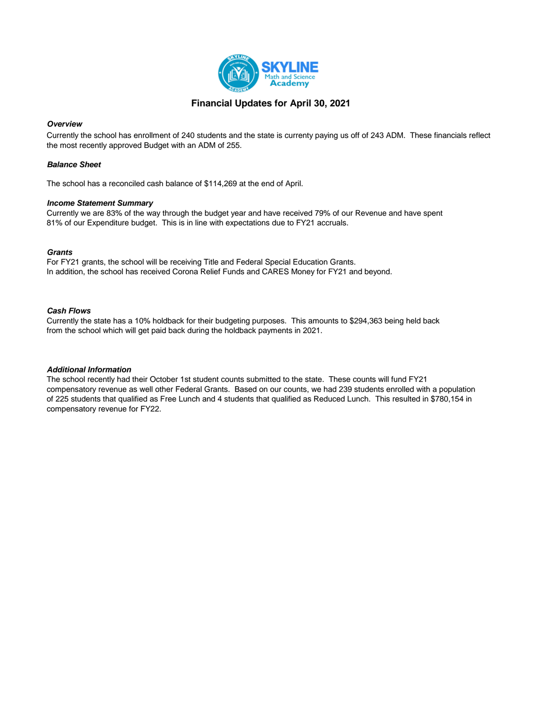

# **Financial Updates for April 30, 2021**

#### *Overview*

Currently the school has enrollment of 240 students and the state is currenty paying us off of 243 ADM. These financials reflect the most recently approved Budget with an ADM of 255.

#### *Balance Sheet*

The school has a reconciled cash balance of \$114,269 at the end of April.

#### *Income Statement Summary*

Currently we are 83% of the way through the budget year and have received 79% of our Revenue and have spent 81% of our Expenditure budget. This is in line with expectations due to FY21 accruals.

#### *Grants*

For FY21 grants, the school will be receiving Title and Federal Special Education Grants. In addition, the school has received Corona Relief Funds and CARES Money for FY21 and beyond.

#### *Cash Flows*

Currently the state has a 10% holdback for their budgeting purposes. This amounts to \$294,363 being held back from the school which will get paid back during the holdback payments in 2021.

#### *Additional Information*

The school recently had their October 1st student counts submitted to the state. These counts will fund FY21 compensatory revenue as well other Federal Grants. Based on our counts, we had 239 students enrolled with a population of 225 students that qualified as Free Lunch and 4 students that qualified as Reduced Lunch. This resulted in \$780,154 in compensatory revenue for FY22.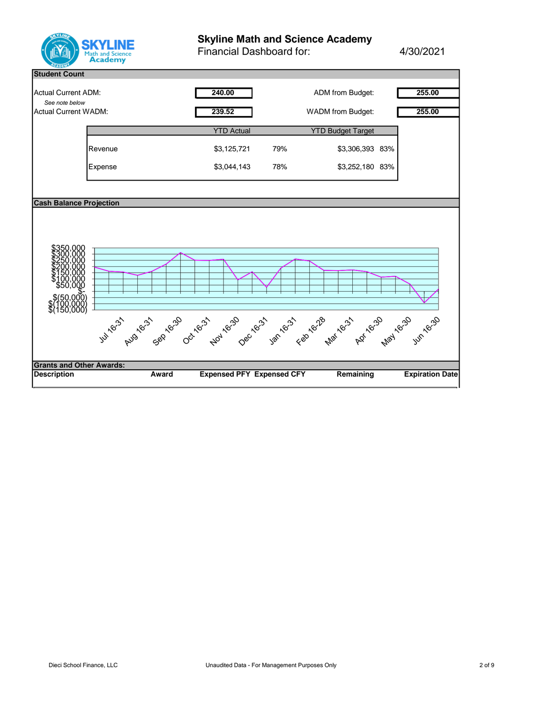

# **Skyline Math and Science Academy**

Financial Dashboard for: 4/30/2021

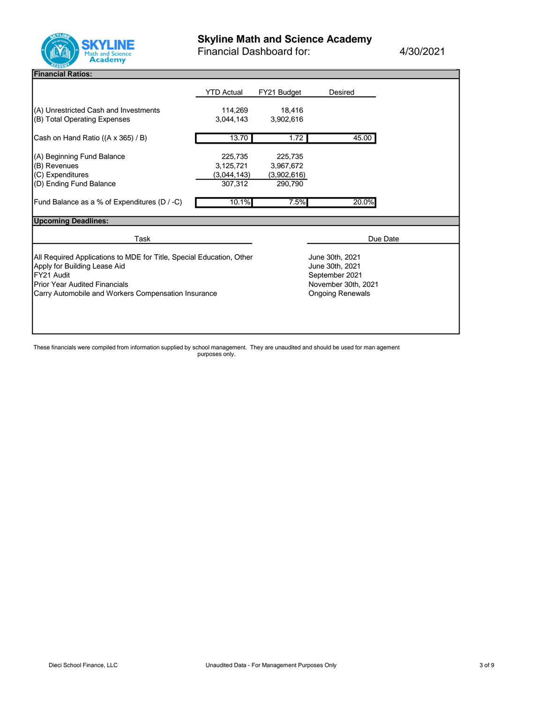

Financial Dashboard for: 4/30/2021

#### **Financial Ratios:**

|                                                                       | <b>YTD Actual</b>    | FY21 Budget         | Desired             |  |
|-----------------------------------------------------------------------|----------------------|---------------------|---------------------|--|
| (A) Unrestricted Cash and Investments<br>(B) Total Operating Expenses | 114,269<br>3.044.143 | 18,416<br>3,902,616 |                     |  |
|                                                                       |                      |                     |                     |  |
| Cash on Hand Ratio ((A x 365) / B)                                    | 13.70                | 1.72                | 45.00               |  |
| (A) Beginning Fund Balance                                            | 225,735              | 225,735             |                     |  |
| (B) Revenues                                                          | 3,125,721            | 3,967,672           |                     |  |
| (C) Expenditures                                                      | (3,044,143)          | (3,902,616)         |                     |  |
| (D) Ending Fund Balance                                               | 307,312              | 290,790             |                     |  |
| Fund Balance as a % of Expenditures (D / -C)                          | 10.1%                | 7.5%                | 20.0%               |  |
| <b>Upcoming Deadlines:</b>                                            |                      |                     |                     |  |
| Task                                                                  |                      |                     | Due Date            |  |
| All Required Applications to MDE for Title, Special Education, Other  |                      |                     | June 30th, 2021     |  |
| Apply for Building Lease Aid                                          |                      |                     | June 30th, 2021     |  |
|                                                                       | September 2021       |                     |                     |  |
| FY21 Audit                                                            |                      |                     |                     |  |
| <b>Prior Year Audited Financials</b>                                  |                      |                     | November 30th, 2021 |  |

These financials were compiled from information supplied by school management. They are unaudited and should be used for man agement purposes only.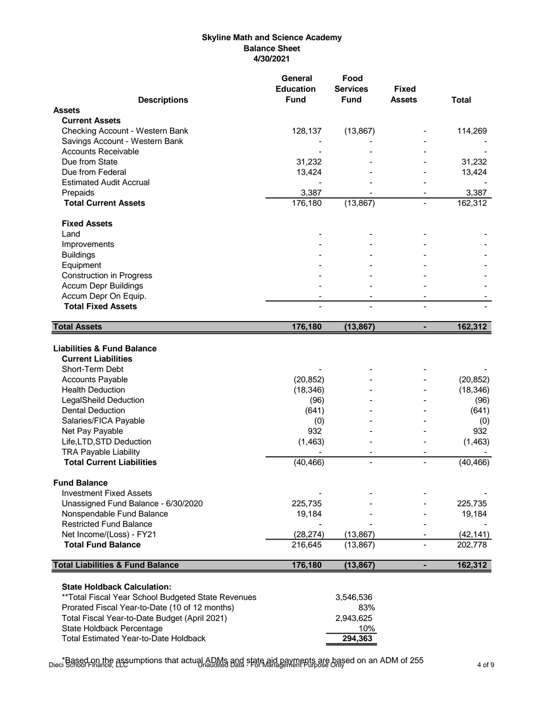# **Skyline Math and Science Academy Balance Sheet 4/30/2021**

|                                                                                                                                                                                                                                                                                                                                                                                                                                                                                                                                                | General<br><b>Education</b>                                                                                      | Food<br><b>Services</b>                         | <b>Fixed</b>   |                                                                                                                  |
|------------------------------------------------------------------------------------------------------------------------------------------------------------------------------------------------------------------------------------------------------------------------------------------------------------------------------------------------------------------------------------------------------------------------------------------------------------------------------------------------------------------------------------------------|------------------------------------------------------------------------------------------------------------------|-------------------------------------------------|----------------|------------------------------------------------------------------------------------------------------------------|
| <b>Descriptions</b>                                                                                                                                                                                                                                                                                                                                                                                                                                                                                                                            | <b>Fund</b>                                                                                                      | <b>Fund</b>                                     | <b>Assets</b>  | <b>Total</b>                                                                                                     |
| <b>Assets</b>                                                                                                                                                                                                                                                                                                                                                                                                                                                                                                                                  |                                                                                                                  |                                                 |                |                                                                                                                  |
| <b>Current Assets</b>                                                                                                                                                                                                                                                                                                                                                                                                                                                                                                                          |                                                                                                                  |                                                 |                |                                                                                                                  |
| Checking Account - Western Bank                                                                                                                                                                                                                                                                                                                                                                                                                                                                                                                | 128,137                                                                                                          | (13, 867)                                       |                | 114,269                                                                                                          |
| Savings Account - Western Bank                                                                                                                                                                                                                                                                                                                                                                                                                                                                                                                 |                                                                                                                  |                                                 |                |                                                                                                                  |
| <b>Accounts Receivable</b>                                                                                                                                                                                                                                                                                                                                                                                                                                                                                                                     |                                                                                                                  |                                                 |                |                                                                                                                  |
| Due from State                                                                                                                                                                                                                                                                                                                                                                                                                                                                                                                                 | 31,232                                                                                                           |                                                 |                | 31,232                                                                                                           |
| Due from Federal                                                                                                                                                                                                                                                                                                                                                                                                                                                                                                                               | 13,424                                                                                                           |                                                 |                | 13,424                                                                                                           |
| <b>Estimated Audit Accrual</b>                                                                                                                                                                                                                                                                                                                                                                                                                                                                                                                 |                                                                                                                  |                                                 |                |                                                                                                                  |
| Prepaids                                                                                                                                                                                                                                                                                                                                                                                                                                                                                                                                       | 3,387                                                                                                            |                                                 |                | 3,387                                                                                                            |
| <b>Total Current Assets</b>                                                                                                                                                                                                                                                                                                                                                                                                                                                                                                                    | 176,180                                                                                                          | (13, 867)                                       |                | 162,312                                                                                                          |
| <b>Fixed Assets</b>                                                                                                                                                                                                                                                                                                                                                                                                                                                                                                                            |                                                                                                                  |                                                 |                |                                                                                                                  |
| Land                                                                                                                                                                                                                                                                                                                                                                                                                                                                                                                                           |                                                                                                                  |                                                 |                |                                                                                                                  |
| Improvements                                                                                                                                                                                                                                                                                                                                                                                                                                                                                                                                   |                                                                                                                  |                                                 |                |                                                                                                                  |
| <b>Buildings</b>                                                                                                                                                                                                                                                                                                                                                                                                                                                                                                                               |                                                                                                                  |                                                 |                |                                                                                                                  |
| Equipment                                                                                                                                                                                                                                                                                                                                                                                                                                                                                                                                      |                                                                                                                  |                                                 |                |                                                                                                                  |
| <b>Construction in Progress</b>                                                                                                                                                                                                                                                                                                                                                                                                                                                                                                                |                                                                                                                  |                                                 |                |                                                                                                                  |
| <b>Accum Depr Buildings</b>                                                                                                                                                                                                                                                                                                                                                                                                                                                                                                                    |                                                                                                                  |                                                 |                |                                                                                                                  |
| Accum Depr On Equip.                                                                                                                                                                                                                                                                                                                                                                                                                                                                                                                           |                                                                                                                  |                                                 |                |                                                                                                                  |
| <b>Total Fixed Assets</b>                                                                                                                                                                                                                                                                                                                                                                                                                                                                                                                      |                                                                                                                  |                                                 |                |                                                                                                                  |
| <b>Total Assets</b>                                                                                                                                                                                                                                                                                                                                                                                                                                                                                                                            | 176,180                                                                                                          | (13, 867)                                       | ä,             | 162,312                                                                                                          |
| <b>Liabilities &amp; Fund Balance</b><br><b>Current Liabilities</b><br>Short-Term Debt<br><b>Accounts Payable</b><br><b>Health Deduction</b><br><b>LegalSheild Deduction</b><br><b>Dental Deduction</b><br>Salaries/FICA Payable<br>Net Pay Payable<br>Life, LTD, STD Deduction<br><b>TRA Payable Liability</b><br><b>Total Current Liabilities</b><br><b>Fund Balance</b><br><b>Investment Fixed Assets</b><br>Unassigned Fund Balance - 6/30/2020<br>Nonspendable Fund Balance<br><b>Restricted Fund Balance</b><br>Net Income/(Loss) - FY21 | (20, 852)<br>(18, 346)<br>(96)<br>(641)<br>(0)<br>932<br>(1, 463)<br>(40, 466)<br>225,735<br>19,184<br>(28, 274) | $\blacksquare$<br>(13, 867)                     | $\blacksquare$ | (20, 852)<br>(18, 346)<br>(96)<br>(641)<br>(0)<br>932<br>(1, 463)<br>(40, 466)<br>225,735<br>19,184<br>(42, 141) |
| <b>Total Fund Balance</b>                                                                                                                                                                                                                                                                                                                                                                                                                                                                                                                      | 216,645                                                                                                          | (13, 867)                                       |                | 202,778                                                                                                          |
| <b>Total Liabilities &amp; Fund Balance</b>                                                                                                                                                                                                                                                                                                                                                                                                                                                                                                    | 176,180                                                                                                          | (13, 867)                                       | ٠              | 162,312                                                                                                          |
| <b>State Holdback Calculation:</b><br>** Total Fiscal Year School Budgeted State Revenues<br>Prorated Fiscal Year-to-Date (10 of 12 months)<br>Total Fiscal Year-to-Date Budget (April 2021)<br>State Holdback Percentage<br><b>Total Estimated Year-to-Date Holdback</b>                                                                                                                                                                                                                                                                      |                                                                                                                  | 3,546,536<br>83%<br>2,943,625<br>10%<br>294,363 |                |                                                                                                                  |

\*Based on the assumptions that actual ADMs and state aid payments are based on an ADM of 255 Dieci School Finance, LLC Unaudited Data - For Management Purpose Only 4 of 9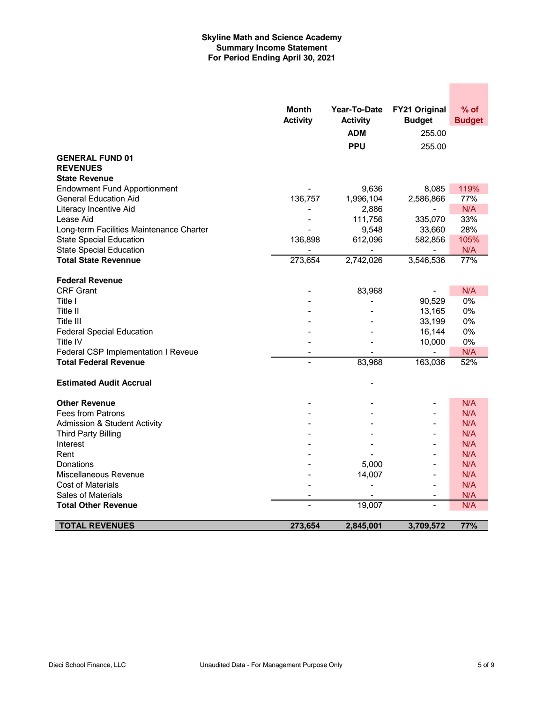# **Skyline Math and Science Academy Summary Income Statement For Period Ending April 30, 2021**

|                                          | <b>Month</b>    | Year-To-Date    | FY21 Original            | $%$ of        |
|------------------------------------------|-----------------|-----------------|--------------------------|---------------|
|                                          | <b>Activity</b> | <b>Activity</b> | <b>Budget</b>            | <b>Budget</b> |
|                                          |                 | <b>ADM</b>      | 255.00                   |               |
|                                          |                 | <b>PPU</b>      | 255.00                   |               |
| <b>GENERAL FUND 01</b>                   |                 |                 |                          |               |
| <b>REVENUES</b>                          |                 |                 |                          |               |
| <b>State Revenue</b>                     |                 |                 |                          |               |
| <b>Endowment Fund Apportionment</b>      |                 | 9,636           | 8,085                    | 119%          |
| <b>General Education Aid</b>             | 136,757         | 1,996,104       | 2,586,866                | 77%           |
| Literacy Incentive Aid                   |                 | 2,886           |                          | N/A           |
| Lease Aid                                |                 | 111,756         | 335,070                  | 33%           |
| Long-term Facilities Maintenance Charter |                 | 9,548           | 33,660                   | 28%           |
| <b>State Special Education</b>           | 136,898         | 612,096         | 582,856                  | 105%          |
| <b>State Special Education</b>           |                 |                 |                          | N/A           |
| <b>Total State Revennue</b>              | 273,654         | 2,742,026       | 3,546,536                | 77%           |
|                                          |                 |                 |                          |               |
| <b>Federal Revenue</b>                   |                 |                 |                          |               |
| <b>CRF Grant</b>                         |                 | 83,968          |                          | N/A           |
| Title I                                  |                 |                 | 90,529                   | $0\%$         |
| Title II                                 |                 |                 | 13,165                   | 0%            |
| Title III                                |                 |                 | 33,199                   | 0%            |
| <b>Federal Special Education</b>         |                 |                 | 16,144                   | 0%            |
| Title IV                                 |                 |                 | 10,000                   | 0%            |
| Federal CSP Implementation I Reveue      |                 |                 |                          | N/A           |
| <b>Total Federal Revenue</b>             |                 | 83,968          | 163,036                  | 52%           |
| <b>Estimated Audit Accrual</b>           |                 |                 |                          |               |
|                                          |                 |                 |                          |               |
| <b>Other Revenue</b>                     |                 |                 |                          | N/A           |
| Fees from Patrons                        |                 |                 | $\blacksquare$           | N/A           |
| <b>Admission &amp; Student Activity</b>  |                 |                 | $\blacksquare$           | N/A           |
| <b>Third Party Billing</b>               |                 |                 | $\blacksquare$           | N/A           |
| Interest                                 |                 |                 | $\overline{\phantom{a}}$ | N/A           |
| Rent                                     |                 |                 | $\overline{\phantom{a}}$ | N/A           |
| Donations                                |                 | 5,000           | $\blacksquare$           | N/A           |
| Miscellaneous Revenue                    |                 | 14,007          | $\blacksquare$           | N/A           |
| <b>Cost of Materials</b>                 |                 |                 | $\overline{a}$           | N/A           |
| Sales of Materials                       |                 |                 |                          | N/A           |
| Total Other Revenue                      |                 | 19,007          |                          | N/A           |
|                                          |                 |                 |                          |               |
| <b>TOTAL REVENUES</b>                    | 273,654         | 2,845,001       | 3,709,572                | 77%           |

**Contract**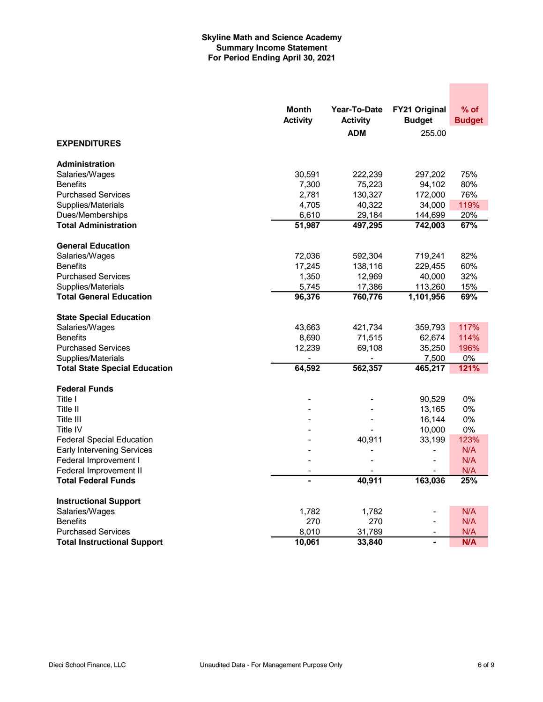# **Skyline Math and Science Academy Summary Income Statement For Period Ending April 30, 2021**

|                                      | <b>Month</b>    | Year-To-Date    | FY21 Original  | % of          |
|--------------------------------------|-----------------|-----------------|----------------|---------------|
|                                      | <b>Activity</b> | <b>Activity</b> | <b>Budget</b>  | <b>Budget</b> |
|                                      |                 | <b>ADM</b>      | 255.00         |               |
| <b>EXPENDITURES</b>                  |                 |                 |                |               |
| <b>Administration</b>                |                 |                 |                |               |
| Salaries/Wages                       | 30,591          | 222,239         | 297,202        | 75%           |
| <b>Benefits</b>                      | 7,300           | 75,223          | 94,102         | 80%           |
| <b>Purchased Services</b>            | 2,781           | 130,327         | 172,000        | 76%           |
| Supplies/Materials                   | 4,705           | 40,322          | 34,000         | 119%          |
| Dues/Memberships                     | 6,610           | 29,184          | 144,699        | 20%           |
| <b>Total Administration</b>          | 51,987          | 497,295         | 742,003        | 67%           |
| <b>General Education</b>             |                 |                 |                |               |
| Salaries/Wages                       | 72,036          | 592,304         | 719,241        | 82%           |
| <b>Benefits</b>                      | 17,245          | 138,116         | 229,455        | 60%           |
| <b>Purchased Services</b>            | 1,350           | 12,969          | 40,000         | 32%           |
| Supplies/Materials                   | 5,745           | 17,386          | 113,260        | 15%           |
| <b>Total General Education</b>       | 96,376          | 760,776         | 1,101,956      | 69%           |
| <b>State Special Education</b>       |                 |                 |                |               |
| Salaries/Wages                       | 43,663          | 421,734         | 359,793        | 117%          |
| <b>Benefits</b>                      | 8,690           | 71,515          | 62,674         | 114%          |
| <b>Purchased Services</b>            | 12,239          | 69,108          | 35,250         | 196%          |
| Supplies/Materials                   |                 |                 | 7,500          | 0%            |
| <b>Total State Special Education</b> | 64,592          | 562,357         | 465,217        | 121%          |
| <b>Federal Funds</b>                 |                 |                 |                |               |
| Title I                              |                 |                 | 90,529         | 0%            |
| Title II                             |                 |                 | 13,165         | 0%            |
| Title III                            |                 |                 | 16,144         | 0%            |
| <b>Title IV</b>                      |                 |                 | 10,000         | 0%            |
| <b>Federal Special Education</b>     |                 | 40,911          | 33,199         | 123%          |
| <b>Early Intervening Services</b>    |                 |                 |                | N/A           |
| Federal Improvement I                |                 |                 | $\blacksquare$ | N/A           |
| Federal Improvement II               |                 |                 |                | N/A           |
| <b>Total Federal Funds</b>           | $\blacksquare$  | 40,911          | 163,036        | 25%           |
| <b>Instructional Support</b>         |                 |                 |                |               |
| Salaries/Wages                       | 1,782           | 1,782           |                | N/A           |
| <b>Benefits</b>                      | 270             | 270             | ÷,             | N/A           |
| <b>Purchased Services</b>            | 8,010           | 31,789          | $\blacksquare$ | N/A           |
| <b>Total Instructional Support</b>   | 10,061          | 33,840          | $\blacksquare$ | <b>N/A</b>    |

**Contract**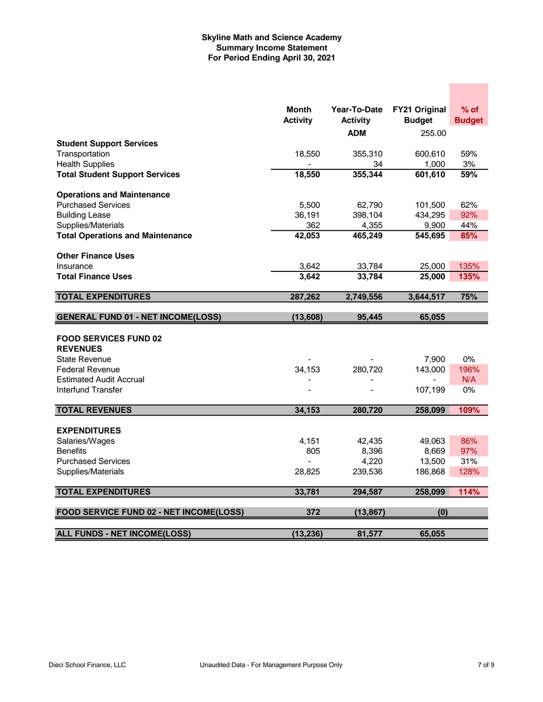# **Skyline Math and Science Academy Summary Income Statement For Period Ending April 30, 2021**

|                                           | <b>Month</b>    | Year-To-Date    | FY21 Original        | $%$ of        |
|-------------------------------------------|-----------------|-----------------|----------------------|---------------|
|                                           | <b>Activity</b> | <b>Activity</b> | <b>Budget</b>        | <b>Budget</b> |
|                                           |                 | <b>ADM</b>      | 255.00               |               |
| <b>Student Support Services</b>           |                 |                 |                      |               |
| Transportation                            | 18,550          | 355,310         | 600,610              | 59%           |
| <b>Health Supplies</b>                    |                 | 34              | 1,000                | 3%            |
| <b>Total Student Support Services</b>     | 18,550          | 355,344         | 601,610              | 59%           |
| <b>Operations and Maintenance</b>         |                 |                 |                      |               |
| <b>Purchased Services</b>                 | 5,500           | 62,790          | 101,500              | 62%           |
| <b>Building Lease</b>                     | 36,191          | 398,104         | 434,295              | 92%           |
| Supplies/Materials                        | 362             | 4,355           | 9,900                | 44%           |
| <b>Total Operations and Maintenance</b>   | 42,053          | 465,249         | $\overline{545,}695$ | 85%           |
| <b>Other Finance Uses</b>                 |                 |                 |                      |               |
| Insurance                                 | 3,642           | 33,784          | 25,000               | 135%          |
| <b>Total Finance Uses</b>                 | 3,642           | 33,784          | 25,000               | 135%          |
| <b>TOTAL EXPENDITURES</b>                 | 287,262         | 2,749,556       | 3,644,517            | 75%           |
|                                           |                 |                 |                      |               |
| <b>GENERAL FUND 01 - NET INCOME(LOSS)</b> | (13,608)        | 95,445          | 65,055               |               |
| <b>FOOD SERVICES FUND 02</b>              |                 |                 |                      |               |
| <b>REVENUES</b>                           |                 |                 |                      |               |
| <b>State Revenue</b>                      |                 |                 | 7,900                | 0%            |
| <b>Federal Revenue</b>                    | 34,153          | 280,720         | 143,000              | 196%          |
| <b>Estimated Audit Accrual</b>            |                 |                 |                      | N/A           |
| Interfund Transfer                        |                 |                 | 107,199              | $0\%$         |
| <b>TOTAL REVENUES</b>                     | 34,153          | 280,720         | 258,099              | 109%          |
|                                           |                 |                 |                      |               |
| <b>EXPENDITURES</b>                       |                 |                 |                      |               |
| Salaries/Wages                            | 4,151           | 42,435          | 49,063               | 86%           |
| <b>Benefits</b>                           | 805             | 8,396           | 8,669                | 97%           |
| <b>Purchased Services</b>                 |                 | 4,220           | 13,500               | 31%           |
| Supplies/Materials                        | 28,825          | 239,536         | 186,868              | 128%          |
| <b>TOTAL EXPENDITURES</b>                 | 33,781          | 294,587         | 258,099              | 114%          |
| FOOD SERVICE FUND 02 - NET INCOME(LOSS)   | 372             | (13, 867)       | (0)                  |               |
|                                           |                 |                 |                      |               |
| <b>ALL FUNDS - NET INCOME(LOSS)</b>       | (13, 236)       | 81,577          | 65.055               |               |

**Contract**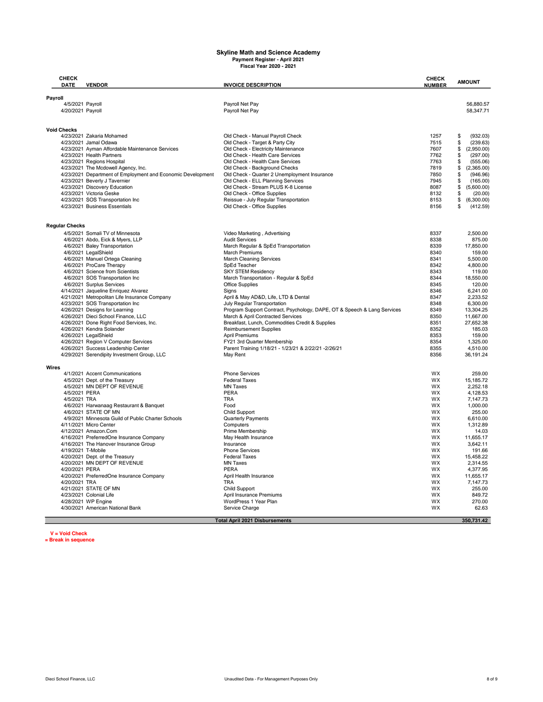# **Skyline Math and Science Academy Payment Register - April 2021 Fiscal Year 2020 - 2021**

| CHECK<br><b>DATE</b>          | <b>VENDOR</b>                                                               | <b>INVOICE DESCRIPTION</b>                                                          | <b>CHECK</b><br><b>NUMBER</b> | <b>AMOUNT</b>                     |
|-------------------------------|-----------------------------------------------------------------------------|-------------------------------------------------------------------------------------|-------------------------------|-----------------------------------|
| Payroll                       |                                                                             |                                                                                     |                               |                                   |
|                               | 4/5/2021 Payroll                                                            | Payroll Net Pay                                                                     |                               | 56,880.57                         |
| 4/20/2021 Payroll             |                                                                             | Payroll Net Pay                                                                     |                               | 58,347.71                         |
|                               |                                                                             |                                                                                     |                               |                                   |
| <b>Void Checks</b>            | 4/23/2021 Zakaria Mohamed                                                   | Old Check - Manual Payroll Check                                                    | 1257                          | (932.03)<br>\$                    |
|                               | 4/23/2021 Jamal Odawa                                                       | Old Check - Target & Party City                                                     | 7515                          | \$<br>(239.63)                    |
|                               | 4/23/2021 Ayman Affordable Maintenance Services                             | Old Check - Electricity Maintenance                                                 | 7607                          | \$<br>(2,950.00)                  |
|                               | 4/23/2021 Health Partners                                                   | Old Check - Health Care Services                                                    | 7762                          | \$<br>(297.00)                    |
|                               | 4/23/2021 Regions Hospital                                                  | Old Check - Health Care Services                                                    | 7763                          | \$<br>(555.06)                    |
|                               | 4/23/2021 The Mcdowell Agency, Inc.                                         | Old Check - Background Checks                                                       | 7819                          | \$<br>(2,365.00)                  |
|                               | 4/23/2021 Department of Employment and Economic Development                 | Old Check - Quarter 2 Unemployment Insurance                                        | 7850                          | (946.96)<br>\$                    |
|                               | 4/23/2021 Beverly J Tavernier                                               | Old Check - ELL Planning Services                                                   | 7945                          | \$<br>(165.00)                    |
|                               | 4/23/2021 Discovery Education<br>4/23/2021 Victoria Geske                   | Old Check - Stream PLUS K-8 License<br>Old Check - Office Supplies                  | 8087<br>8132                  | \$<br>(5,600.00)<br>\$<br>(20.00) |
|                               | 4/23/2021 SOS Transportation Inc                                            | Reissue - July Regular Transportation                                               | 8153                          | \$<br>(6,300.00)                  |
|                               | 4/23/2021 Business Essentials                                               | Old Check - Office Supplies                                                         | 8156                          | (412.59)<br>\$                    |
|                               |                                                                             |                                                                                     |                               |                                   |
| <b>Regular Checks</b>         |                                                                             |                                                                                     |                               | 2,500.00                          |
|                               | 4/5/2021 Somali TV of Minnesota<br>4/6/2021 Abdo, Eick & Myers, LLP         | Video Marketing, Advertising<br><b>Audit Services</b>                               | 8337<br>8338                  | 875.00                            |
|                               | 4/6/2021 Baley Transportation                                               | March Regular & SpEd Transportation                                                 | 8339                          | 17,850.00                         |
|                               | 4/6/2021 LegalShield                                                        | <b>March Premiums</b>                                                               | 8340                          | 159.00                            |
|                               | 4/6/2021 Manuel Ortega Cleaning                                             | <b>March Cleaning Services</b>                                                      | 8341                          | 5,500.00                          |
|                               | 4/6/2021 ProCare Therapy                                                    | SpEd Teacher                                                                        | 8342                          | 4.800.00                          |
|                               | 4/6/2021 Science from Scientists                                            | <b>SKY STEM Residency</b>                                                           | 8343                          | 119.00                            |
|                               | 4/6/2021 SOS Transportation Inc                                             | March Transportation - Regular & SpEd                                               | 8344                          | 18,550.00                         |
|                               | 4/6/2021 Surplus Services<br>4/14/2021 Jaqueline Enriquez Alvarez           | <b>Office Supplies</b><br>Signs                                                     | 8345<br>8346                  | 120.00<br>6,241.00                |
|                               | 4/21/2021 Metropolitan Life Insurance Company                               | April & May AD&D, Life, LTD & Dental                                                | 8347                          | 2.233.52                          |
|                               | 4/23/2021 SOS Transportation Inc                                            | July Regular Transportation                                                         | 8348                          | 6.300.00                          |
|                               | 4/26/2021 Designs for Learning                                              | Program Support Contract, Psychology, DAPE, OT & Speech & Lang Services             | 8349                          | 13,304.25                         |
|                               | 4/26/2021 Dieci School Finance, LLC                                         | March & April Contracted Services                                                   | 8350                          | 11,667.00                         |
|                               | 4/26/2021 Done Right Food Services, Inc.                                    | Breakfast, Lunch, Commodities Credit & Supplies                                     | 8351                          | 27,652.38                         |
|                               | 4/26/2021 Kendra Solander                                                   | <b>Reimbursement Supplies</b>                                                       | 8352                          | 185.03                            |
|                               | 4/26/2021 LegalShield                                                       | April Premiums                                                                      | 8353                          | 159.00                            |
|                               | 4/26/2021 Region V Computer Services<br>4/26/2021 Success Leadership Center | FY21 3rd Quarter Membership<br>Parent Training 1/18/21 - 1/23/21 & 2/22/21 -2/26/21 | 8354<br>8355                  | 1,325.00<br>4,510.00              |
|                               | 4/29/2021 Serendipity Investment Group, LLC                                 | May Rent                                                                            | 8356                          | 36,191.24                         |
| Wires                         |                                                                             |                                                                                     |                               |                                   |
|                               | 4/1/2021 Accent Communications                                              | <b>Phone Services</b>                                                               | <b>WX</b>                     | 259.00                            |
|                               | 4/5/2021 Dept. of the Treasury                                              | <b>Federal Taxes</b>                                                                | <b>WX</b>                     | 15,185.72                         |
|                               | 4/5/2021 MN DEPT OF REVENUE                                                 | <b>MN Taxes</b>                                                                     | WX                            | 2,252.18                          |
| 4/5/2021 PERA<br>4/5/2021 TRA |                                                                             | PERA<br><b>TRA</b>                                                                  | WX<br><b>WX</b>               | 4,128.53<br>7,147.73              |
|                               | 4/6/2021 Harwanaag Restaurant & Banquet                                     | Food                                                                                | <b>WX</b>                     | 1,000.00                          |
|                               | 4/6/2021 STATE OF MN                                                        | <b>Child Support</b>                                                                | <b>WX</b>                     | 255.00                            |
|                               | 4/9/2021 Minnesota Guild of Public Charter Schools                          | Quarterly Payments                                                                  | WX                            | 6,610.00                          |
|                               | 4/11/2021 Micro Center                                                      | Computers                                                                           | <b>WX</b>                     | 1,312.89                          |
|                               | 4/12/2021 Amazon.Com                                                        | Prime Membership                                                                    | <b>WX</b>                     | 14.03                             |
|                               | 4/16/2021 PreferredOne Insurance Company                                    | May Health Insurance                                                                | WX                            | 11,655.17                         |
|                               | 4/16/2021 The Hanover Insurance Group<br>4/19/2021 T-Mobile                 | Insurance                                                                           | <b>WX</b><br><b>WX</b>        | 3.642.11<br>191.66                |
|                               | 4/20/2021 Dept. of the Treasury                                             | Phone Services<br><b>Federal Taxes</b>                                              | WX                            | 15,458.22                         |
|                               | 4/20/2021 MN DEPT OF REVENUE                                                | <b>MN Taxes</b>                                                                     | WX                            | 2,314.55                          |
| 4/20/2021 PERA                |                                                                             | PERA                                                                                | <b>WX</b>                     | 4,377.95                          |
|                               | 4/20/2021 PreferredOne Insurance Company                                    | April Health Insurance                                                              | <b>WX</b>                     | 11,655.17                         |
| 4/20/2021 TRA                 |                                                                             | <b>TRA</b>                                                                          | <b>WX</b>                     | 7,147.73                          |
|                               | 4/21/2021 STATE OF MN                                                       | Child Support                                                                       | <b>WX</b>                     | 255.00                            |
|                               | 4/23/2021 Colonial Life                                                     | April Insurance Premiums                                                            | WX                            | 849.72                            |
|                               | 4/28/2021 WP Engine                                                         | WordPress 1 Year Plan                                                               | WX<br>WX                      | 270.00<br>62.63                   |
|                               | 4/30/2021 American National Bank                                            | Service Charge                                                                      |                               |                                   |
|                               |                                                                             | <b>Total April 2021 Disbursements</b>                                               |                               | 350,731.42                        |

**V = Void Check \*= Break in sequence**